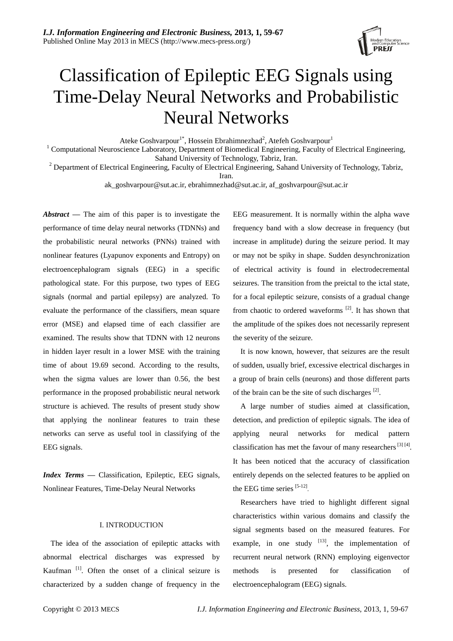

# Classification of Epileptic EEG Signals using Time-Delay Neural Networks and Probabilistic Neural Networks

Ateke Goshvarpour<sup>1\*</sup>, Hossein Ebrahimnezhad<sup>2</sup>, Atefeh Goshvarpour<sup>1</sup>

<sup>1</sup> Computational Neuroscience Laboratory, Department of Biomedical Engineering, Faculty of Electrical Engineering, Sahand University of Technology, Tabriz, Iran.

<sup>2</sup> Department of Electrical Engineering, Faculty of Electrical Engineering, Sahand University of Technology, Tabriz,

Iran.

ak\_goshvarpour@sut.ac.ir, ebrahimnezhad@sut.ac.ir, af\_goshvarpour@sut.ac.ir

*Abstract —* The aim of this paper is to investigate the performance of time delay neural networks (TDNNs) and the probabilistic neural networks (PNNs) trained with nonlinear features (Lyapunov exponents and Entropy) on electroencephalogram signals (EEG) in a specific pathological state. For this purpose, two types of EEG signals (normal and partial epilepsy) are analyzed. To evaluate the performance of the classifiers, mean square error (MSE) and elapsed time of each classifier are examined. The results show that TDNN with 12 neurons in hidden layer result in a lower MSE with the training time of about 19.69 second. According to the results, when the sigma values are lower than 0.56, the best performance in the proposed probabilistic neural network structure is achieved. The results of present study show that applying the nonlinear features to train these networks can serve as useful tool in classifying of the EEG signals.

*Index Terms —* Classification, Epileptic, EEG signals, Nonlinear Features, Time-Delay Neural Networks

# I. INTRODUCTION

The idea of the association of epileptic attacks with abnormal electrical discharges was expressed by Kaufman<sup>[1]</sup>. Often the onset of a clinical seizure is characterized by a sudden change of frequency in the

EEG measurement. It is normally within the alpha wave frequency band with a slow decrease in frequency (but increase in amplitude) during the seizure period. It may or may not be spiky in shape. Sudden desynchronization of electrical activity is found in electrodecremental seizures. The transition from the preictal to the ictal state, for a focal epileptic seizure, consists of a gradual change from chaotic to ordered waveforms  $[2]$ . It has shown that the amplitude of the spikes does not necessarily represent the severity of the seizure.

It is now known, however, that seizures are the result of sudden, usually brief, excessive electrical discharges in a group of brain cells (neurons) and those different parts of the brain can be the site of such discharges  $[2]$ .

A large number of studies aimed at classification, detection, and prediction of epileptic signals. The idea of applying neural networks for medical pattern classification has met the favour of many researchers  $^{[3] [4]}$ . It has been noticed that the accuracy of classification entirely depends on the selected features to be applied on the EEG time series [5-12].

Researchers have tried to highlight different signal characteristics within various domains and classify the signal segments based on the measured features. For example, in one study  $[13]$ , the implementation of recurrent neural network (RNN) employing eigenvector methods is presented for classification of electroencephalogram (EEG) signals.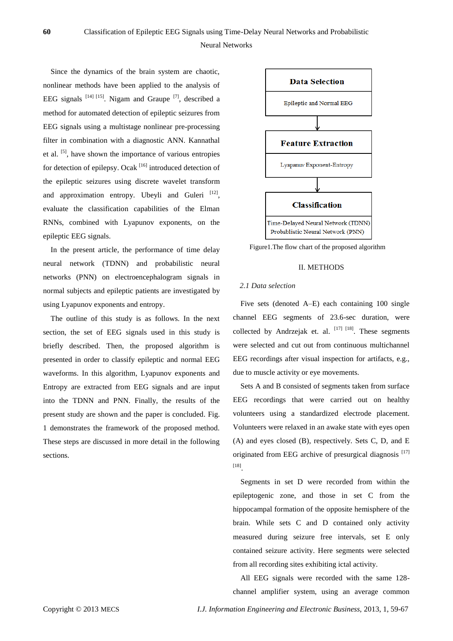Since the dynamics of the brain system are chaotic, nonlinear methods have been applied to the analysis of EEG signals  $^{[14]}$   $^{[15]}$ . Nigam and Graupe  $^{[7]}$ , described a method for automated detection of epileptic seizures from EEG signals using a multistage nonlinear pre-processing filter in combination with a diagnostic ANN. Kannathal et al. <sup>[5]</sup>, have shown the importance of various entropies for detection of epilepsy. Ocak [16] introduced detection of the epileptic seizures using discrete wavelet transform and approximation entropy. Ubeyli and Guleri [12], evaluate the classification capabilities of the Elman RNNs, combined with Lyapunov exponents, on the epileptic EEG signals.

In the present article, the performance of time delay neural network (TDNN) and probabilistic neural networks (PNN) on electroencephalogram signals in normal subjects and epileptic patients are investigated by using Lyapunov exponents and entropy.

The outline of this study is as follows. In the next section, the set of EEG signals used in this study is briefly described. Then, the proposed algorithm is presented in order to classify epileptic and normal EEG waveforms. In this algorithm, Lyapunov exponents and Entropy are extracted from EEG signals and are input into the TDNN and PNN. Finally, the results of the present study are shown and the paper is concluded. Fig. 1 demonstrates the framework of the proposed method. These steps are discussed in more detail in the following sections.



Figure1.The flow chart of the proposed algorithm

# II. METHODS

# *2.1 Data selection*

Five sets (denoted A–E) each containing 100 single channel EEG segments of 23.6-sec duration, were collected by Andrzejak et. al.  $[17]$   $[18]$ . These segments were selected and cut out from continuous multichannel EEG recordings after visual inspection for artifacts, e.g., due to muscle activity or eye movements.

Sets A and B consisted of segments taken from surface EEG recordings that were carried out on healthy volunteers using a standardized electrode placement. Volunteers were relaxed in an awake state with eyes open (A) and eyes closed (B), respectively. Sets C, D, and E originated from EEG archive of presurgical diagnosis<sup>[17]</sup> [18] .

Segments in set D were recorded from within the epileptogenic zone, and those in set C from the hippocampal formation of the opposite hemisphere of the brain. While sets C and D contained only activity measured during seizure free intervals, set E only contained seizure activity. Here segments were selected from all recording sites exhibiting ictal activity.

All EEG signals were recorded with the same 128 channel amplifier system, using an average common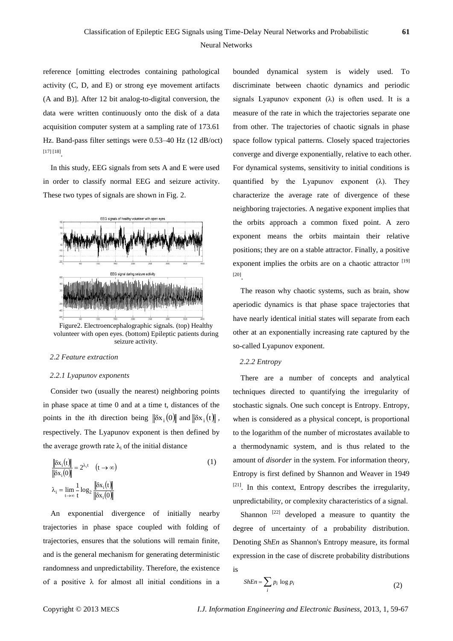# Neural Networks

reference [omitting electrodes containing pathological activity (C, D, and E) or strong eye movement artifacts (A and B)]. After 12 bit analog-to-digital conversion, the data were written continuously onto the disk of a data acquisition computer system at a sampling rate of 173.61 Hz. Band-pass filter settings were 0.53–40 Hz (12 dB/oct) [17] [18] .

In this study, EEG signals from sets A and E were used in order to classify normal EEG and seizure activity. These two types of signals are shown in Fig. 2.



Figure2. Electroencephalographic signals. (top) Healthy volunteer with open eyes. (bottom) Epileptic patients during seizure activity.

# *2.2 Feature extraction*

#### *2.2.1 Lyapunov exponents*

Consider two (usually the nearest) neighboring points in phase space at time 0 and at a time t, distances of the points in the *i*th direction being  $\|\delta x_i(0)\|$  and  $\|\delta x_i(t)\|$ , respectively. The Lyapunov exponent is then defined by the average growth rate  $\lambda_i$  of the initial distance

$$
\frac{\|\delta x_i(t)\|}{\|\delta x_i(0)\|} = 2^{\lambda_i t} \quad (t \to \infty)
$$
\n
$$
\lambda_i = \lim_{t \to \infty} \frac{1}{t} \log_2 \frac{\|\delta x_i(t)\|}{\|\delta x_i(0)\|}
$$
\n(1)

An exponential divergence of initially nearby trajectories in phase space coupled with folding of trajectories, ensures that the solutions will remain finite, and is the general mechanism for generating deterministic randomness and unpredictability. Therefore, the existence of a positive  $\lambda$  for almost all initial conditions in a bounded dynamical system is widely used. To discriminate between chaotic dynamics and periodic signals Lyapunov exponent  $(\lambda)$  is often used. It is a measure of the rate in which the trajectories separate one from other. The trajectories of chaotic signals in phase space follow typical patterns. Closely spaced trajectories converge and diverge exponentially, relative to each other. For dynamical systems, sensitivity to initial conditions is quantified by the Lyapunov exponent  $(\lambda)$ . They characterize the average rate of divergence of these neighboring trajectories. A negative exponent implies that the orbits approach a common fixed point. A zero exponent means the orbits maintain their relative positions; they are on a stable attractor. Finally, a positive exponent implies the orbits are on a chaotic attractor  $[19]$ [20] .

The reason why chaotic systems, such as brain, show aperiodic dynamics is that phase space trajectories that have nearly identical initial states will separate from each other at an exponentially increasing rate captured by the so-called Lyapunov exponent.

#### *2.2.2 Entropy*

There are a number of concepts and analytical techniques directed to quantifying the irregularity of stochastic signals. One such concept is Entropy. Entropy, when is considered as a physical concept, is proportional to the logarithm of the number of microstates available to a thermodynamic system, and is thus related to the amount of *disorder* in the system. For information theory, Entropy is first defined by Shannon and Weaver in 1949  $[21]$ . In this context, Entropy describes the irregularity, unpredictability, or complexity characteristics of a signal.

Shannon  $[22]$  developed a measure to quantity the degree of uncertainty of a probability distribution. Denoting *ShEn* as Shannon's Entropy measure, its formal expression in the case of discrete probability distributions is

$$
ShEn = \sum_{i} p_i \log p_i \tag{2}
$$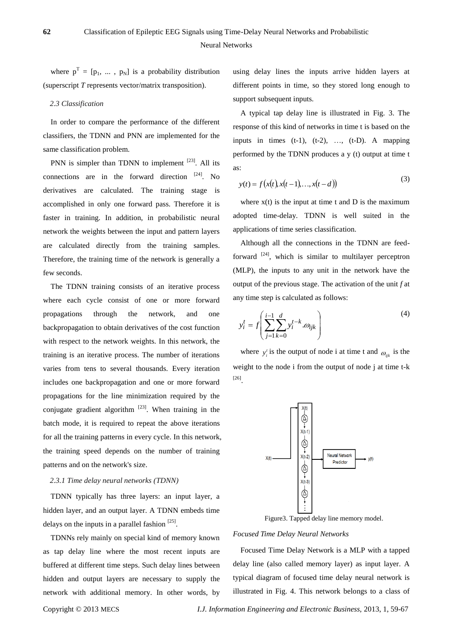where  $p^T = [p_1, ..., p_N]$  is a probability distribution (superscript *T* represents vector/matrix transposition).

#### *2.3 Classification*

In order to compare the performance of the different classifiers, the TDNN and PNN are implemented for the same classification problem.

PNN is simpler than TDNN to implement  $^{[23]}$ . All its connections are in the forward direction  $[24]$ . No derivatives are calculated. The training stage is accomplished in only one forward pass. Therefore it is faster in training. In addition, in probabilistic neural network the weights between the input and pattern layers are calculated directly from the training samples. Therefore, the training time of the network is generally a few seconds.

The TDNN training consists of an iterative process where each cycle consist of one or more forward propagations through the network, and one backpropagation to obtain derivatives of the cost function with respect to the network weights. In this network, the training is an iterative process. The number of iterations varies from tens to several thousands. Every iteration includes one backpropagation and one or more forward propagations for the line minimization required by the conjugate gradient algorithm  $^{[23]}$ . When training in the batch mode, it is required to repeat the above iterations for all the training patterns in every cycle. In this network, the training speed depends on the number of training patterns and on the network's size.

# *2.3.1 Time delay neural networks (TDNN)*

TDNN typically has three layers: an input layer, a hidden layer, and an output layer. A TDNN embeds time delays on the inputs in a parallel fashion  $[25]$ .

TDNNs rely mainly on special kind of memory known as tap delay line where the most recent inputs are buffered at different time steps. Such delay lines between hidden and output layers are necessary to supply the network with additional memory. In other words, by using delay lines the inputs arrive hidden layers at different points in time, so they stored long enough to support subsequent inputs.

A typical tap delay line is illustrated in Fig. 3. The response of this kind of networks in time t is based on the inputs in times  $(t-1)$ ,  $(t-2)$ , ...,  $(t-D)$ . A mapping performed by the TDNN produces a y (t) output at time t as:

$$
y(t) = f(x(t), x(t-1), \dots, x(t-d))
$$
\n(3)

where  $x(t)$  is the input at time t and D is the maximum adopted time-delay. TDNN is well suited in the applications of time series classification.

Although all the connections in the TDNN are feedforward  $^{[24]}$ , which is similar to multilayer perceptron (MLP), the inputs to any unit in the network have the output of the previous stage. The activation of the unit *f* at any time step is calculated as follows:

$$
y_i^t = f\left(\sum_{j=1}^{i-1} \sum_{k=0}^d y_i^{t-k} \cdot \omega_{ijk}\right)
$$
 (4)

where  $y_i^t$  is the output of node i at time t and  $\omega_{ijk}$  is the weight to the node i from the output of node j at time t-k [26] .



Figure3. Tapped delay line memory model.

*Focused Time Delay Neural Networks*

Focused Time Delay Network is a MLP with a tapped delay line (also called memory layer) as input layer. A typical diagram of focused time delay neural network is illustrated in Fig. 4. This network belongs to a class of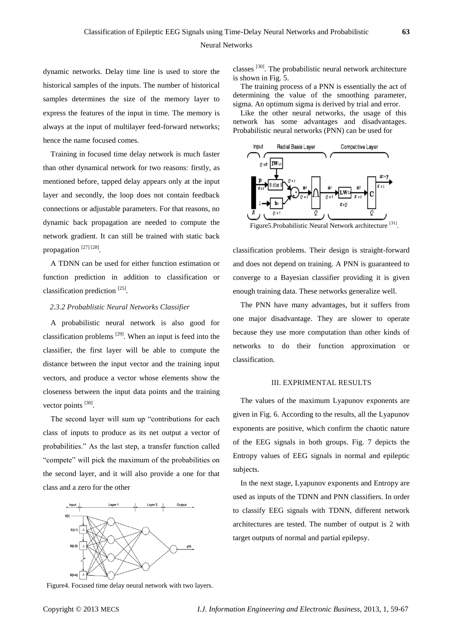Neural Networks

dynamic networks. Delay time line is used to store the historical samples of the inputs. The number of historical samples determines the size of the memory layer to express the features of the input in time. The memory is always at the input of multilayer feed-forward networks; hence the name focused comes.

Training in focused time delay network is much faster than other dynamical network for two reasons: firstly, as mentioned before, tapped delay appears only at the input layer and secondly, the loop does not contain feedback connections or adjustable parameters. For that reasons, no dynamic back propagation are needed to compute the network gradient. It can still be trained with static back propagation<sup>[27][28]</sup>.

A TDNN can be used for either function estimation or function prediction in addition to classification or classification prediction<sup>[25]</sup>.

# *2.3.2 Probablistic Neural Networks Classifier*

A probabilistic neural network is also good for classification problems  $[29]$ . When an input is feed into the classifier, the first layer will be able to compute the distance between the input vector and the training input vectors, and produce a vector whose elements show the closeness between the input data points and the training vector points [30].

The second layer will sum up "contributions for each class of inputs to produce as its net output a vector of probabilities." As the last step, a transfer function called "compete" will pick the maximum of the probabilities on the second layer, and it will also provide a one for that class and a zero for the other



classes [30]. The probabilistic neural network architecture is shown in Fig. 5.

The training process of a PNN is essentially the act of determining the value of the smoothing parameter, sigma. An optimum sigma is derived by trial and error.

Like the other neural networks, the usage of this network has some advantages and disadvantages. Probabilistic neural networks (PNN) can be used for



Figure5.Probabilistic Neural Network architecture<sup>[31]</sup>.

classification problems. Their design is straight-forward and does not depend on training. A PNN is guaranteed to converge to a Bayesian classifier providing it is given enough training data. These networks generalize well.

The PNN have many advantages, but it suffers from one major disadvantage. They are slower to operate because they use more computation than other kinds of networks to do their function approximation or classification.

#### III. EXPRIMENTAL RESULTS

The values of the maximum Lyapunov exponents are given in Fig. 6. According to the results, all the Lyapunov exponents are positive, which confirm the chaotic nature of the EEG signals in both groups. Fig. 7 depicts the Entropy values of EEG signals in normal and epileptic subjects.

In the next stage, Lyapunov exponents and Entropy are used as inputs of the TDNN and PNN classifiers. In order to classify EEG signals with TDNN, different network architectures are tested. The number of output is 2 with target outputs of normal and partial epilepsy.

Figure4. Focused time delay neural network with two layers.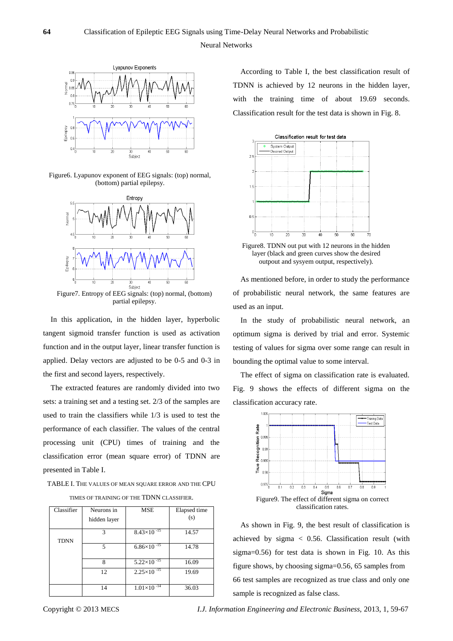

Figure6. Lyapunov exponent of EEG signals: (top) normal, (bottom) partial epilepsy.



Figure7. Entropy of EEG signals: (top) normal, (bottom) partial epilepsy.

In this application, in the hidden layer, hyperbolic tangent sigmoid transfer function is used as activation function and in the output layer, linear transfer function is applied. Delay vectors are adjusted to be 0-5 and 0-3 in the first and second layers, respectively.

The extracted features are randomly divided into two sets: a training set and a testing set. 2/3 of the samples are used to train the classifiers while 1/3 is used to test the performance of each classifier. The values of the central processing unit (CPU) times of training and the classification error (mean square error) of TDNN are presented in Table I.

TABLE I. THE VALUES OF MEAN SQUARE ERROR AND THE CPU TIMES OF TRAINING OF THE TDNN CLASSIFIER.

| Classifier  | Neurons in<br>hidden layer | <b>MSE</b>             | Elapsed time<br>(s) |
|-------------|----------------------------|------------------------|---------------------|
| <b>TDNN</b> | 3                          | $8.43 \times 10^{-15}$ | 14.57               |
|             | 5                          | $6.86\times10^{-15}$   | 14.78               |
|             | 8                          | $5.22 \times 10^{-15}$ | 16.09               |
|             | 12                         | $2.25 \times 10^{-15}$ | 19.69               |
|             | 14                         | $1.01\times10^{-14}$   | 36.03               |

According to Table I, the best classification result of TDNN is achieved by 12 neurons in the hidden layer, with the training time of about 19.69 seconds. Classification result for the test data is shown in Fig. 8.



Figure8. TDNN out put with 12 neurons in the hidden layer (black and green curves show the desired outpout and sysyem output, respectively).

As mentioned before, in order to study the performance of probabilistic neural network, the same features are used as an input.

In the study of probabilistic neural network, an optimum sigma is derived by trial and error. Systemic testing of values for sigma over some range can result in bounding the optimal value to some interval.

The effect of sigma on classification rate is evaluated. Fig. 9 shows the effects of different sigma on the classification accuracy rate.



As shown in Fig. 9, the best result of classification is achieved by sigma < 0.56. Classification result (with sigma=0.56) for test data is shown in Fig. 10. As this figure shows, by choosing sigma=0.56, 65 samples from 66 test samples are recognized as true class and only one sample is recognized as false class.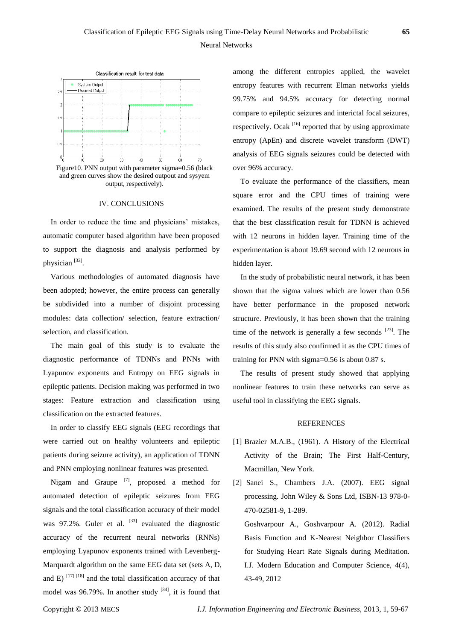

Figure10. PNN output with parameter sigma=0.56 (black and green curves show the desired outpout and sysyem output, respectively).

#### IV. CONCLUSIONS

In order to reduce the time and physicians' mistakes, automatic computer based algorithm have been proposed to support the diagnosis and analysis performed by physician [32].

Various methodologies of automated diagnosis have been adopted; however, the entire process can generally be subdivided into a number of disjoint processing modules: data collection/ selection, feature extraction/ selection, and classification.

The main goal of this study is to evaluate the diagnostic performance of TDNNs and PNNs with Lyapunov exponents and Entropy on EEG signals in epileptic patients. Decision making was performed in two stages: Feature extraction and classification using classification on the extracted features.

In order to classify EEG signals (EEG recordings that were carried out on healthy volunteers and epileptic patients during seizure activity), an application of TDNN and PNN employing nonlinear features was presented.

Nigam and Graupe  $^{[7]}$ , proposed a method for automated detection of epileptic seizures from EEG signals and the total classification accuracy of their model was 97.2%. Guler et al.  $[33]$  evaluated the diagnostic accuracy of the recurrent neural networks (RNNs) employing Lyapunov exponents trained with Levenberg-Marquardt algorithm on the same EEG data set (sets A, D, and E)  $^{[17] [18]}$  and the total classification accuracy of that model was  $96.79\%$ . In another study  $^{[34]}$ , it is found that

among the different entropies applied, the wavelet entropy features with recurrent Elman networks yields 99.75% and 94.5% accuracy for detecting normal compare to epileptic seizures and interictal focal seizures, respectively. Ocak  $[16]$  reported that by using approximate entropy (ApEn) and discrete wavelet transform (DWT) analysis of EEG signals seizures could be detected with over 96% accuracy.

To evaluate the performance of the classifiers, mean square error and the CPU times of training were examined. The results of the present study demonstrate that the best classification result for TDNN is achieved with 12 neurons in hidden layer. Training time of the experimentation is about 19.69 second with 12 neurons in hidden layer.

In the study of probabilistic neural network, it has been shown that the sigma values which are lower than 0.56 have better performance in the proposed network structure. Previously, it has been shown that the training time of the network is generally a few seconds  $[23]$ . The results of this study also confirmed it as the CPU times of training for PNN with sigma=0.56 is about 0.87 s.

The results of present study showed that applying nonlinear features to train these networks can serve as useful tool in classifying the EEG signals.

# **REFERENCES**

- [1] Brazier M.A.B., (1961). A History of the Electrical Activity of the Brain; The First Half-Century, Macmillan, New York.
- [2] Sanei S., Chambers J.A. (2007). EEG signal processing. John Wiley & Sons Ltd, ISBN-13 978-0- 470-02581-9, 1-289.

Goshvarpour A., Goshvarpour A. (2012). Radial Basis Function and K-Nearest Neighbor Classifiers for Studying Heart Rate Signals during Meditation. I.J. Modern Education and Computer Science, 4(4), 43-49, 2012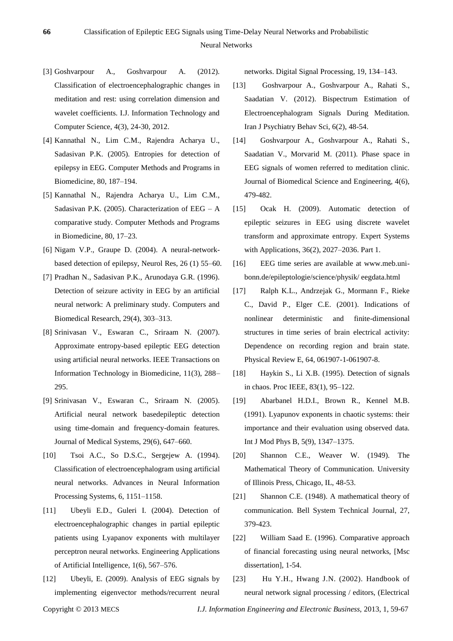- [3] Goshvarpour A., Goshvarpour A. (2012). Classification of electroencephalographic changes in meditation and rest: using correlation dimension and wavelet coefficients. I.J. Information Technology and Computer Science, 4(3), 24-30, 2012.
- [4] Kannathal N., Lim C.M., Rajendra Acharya U., Sadasivan P.K. (2005). Entropies for detection of epilepsy in EEG. Computer Methods and Programs in Biomedicine, 80, 187–194.
- [5] Kannathal N., Rajendra Acharya U., Lim C.M., Sadasivan P.K. (2005). Characterization of  $EEG - A$ comparative study. Computer Methods and Programs in Biomedicine, 80, 17–23.
- [6] Nigam V.P., Graupe D. (2004). A neural-networkbased detection of epilepsy, Neurol Res, 26 (1) 55–60.
- [7] Pradhan N., Sadasivan P.K., Arunodaya G.R. (1996). Detection of seizure activity in EEG by an artificial neural network: A preliminary study. Computers and Biomedical Research, 29(4), 303–313.
- [8] Srinivasan V., Eswaran C., Sriraam N. (2007). Approximate entropy-based epileptic EEG detection using artificial neural networks. IEEE Transactions on Information Technology in Biomedicine, 11(3), 288– 295.
- [9] Srinivasan V., Eswaran C., Sriraam N. (2005). Artificial neural network basedepileptic detection using time-domain and frequency-domain features. Journal of Medical Systems, 29(6), 647–660.
- [10] Tsoi A.C., So D.S.C., Sergejew A. (1994). Classification of electroencephalogram using artificial neural networks. Advances in Neural Information Processing Systems, 6, 1151–1158.
- [11] Ubeyli E.D., Guleri I. (2004). Detection of electroencephalographic changes in partial epileptic patients using Lyapanov exponents with multilayer perceptron neural networks. Engineering Applications of Artificial Intelligence, 1(6), 567–576.
- [12] Ubeyli, E. (2009). Analysis of EEG signals by implementing eigenvector methods/recurrent neural

networks. Digital Signal Processing, 19, 134–143.

- [13] Goshvarpour A., Goshvarpour A., Rahati S., Saadatian V. (2012). Bispectrum Estimation of Electroencephalogram Signals During Meditation. Iran J Psychiatry Behav Sci, 6(2), 48-54.
- [14] Goshvarpour A., Goshvarpour A., Rahati S., Saadatian V., Morvarid M. (2011). Phase space in EEG signals of women referred to meditation clinic. Journal of Biomedical Science and Engineering, 4(6), 479-482.
- [15] Ocak H. (2009). Automatic detection of epileptic seizures in EEG using discrete wavelet transform and approximate entropy. Expert Systems with Applications, 36(2), 2027–2036. Part 1.
- [16] EEG time series are available at www.meb.unibonn.de/epileptologie/science/physik/ eegdata.html
- [17] Ralph K.L., Andrzejak G., Mormann F., Rieke C., David P., Elger C.E. (2001). Indications of nonlinear deterministic and finite-dimensional structures in time series of brain electrical activity: Dependence on recording region and brain state. Physical Review E, 64, 061907-1-061907-8.
- [18] Haykin S., Li X.B. (1995). Detection of signals in chaos. Proc IEEE, 83(1), 95–122.
- [19] Abarbanel H.D.I., Brown R., Kennel M.B. (1991). Lyapunov exponents in chaotic systems: their importance and their evaluation using observed data. Int J Mod Phys B, 5(9), 1347–1375.
- [20] Shannon C.E., Weaver W. (1949). The Mathematical Theory of Communication. University of Illinois Press, Chicago, IL, 48-53.
- [21] Shannon C.E. (1948). A mathematical theory of communication. Bell System Technical Journal, 27, 379-423.
- [22] William Saad E. (1996). Comparative approach of financial forecasting using neural networks, [Msc dissertation], 1-54.
- [23] Hu Y.H., Hwang J.N. (2002). Handbook of neural network signal processing / editors, (Electrical